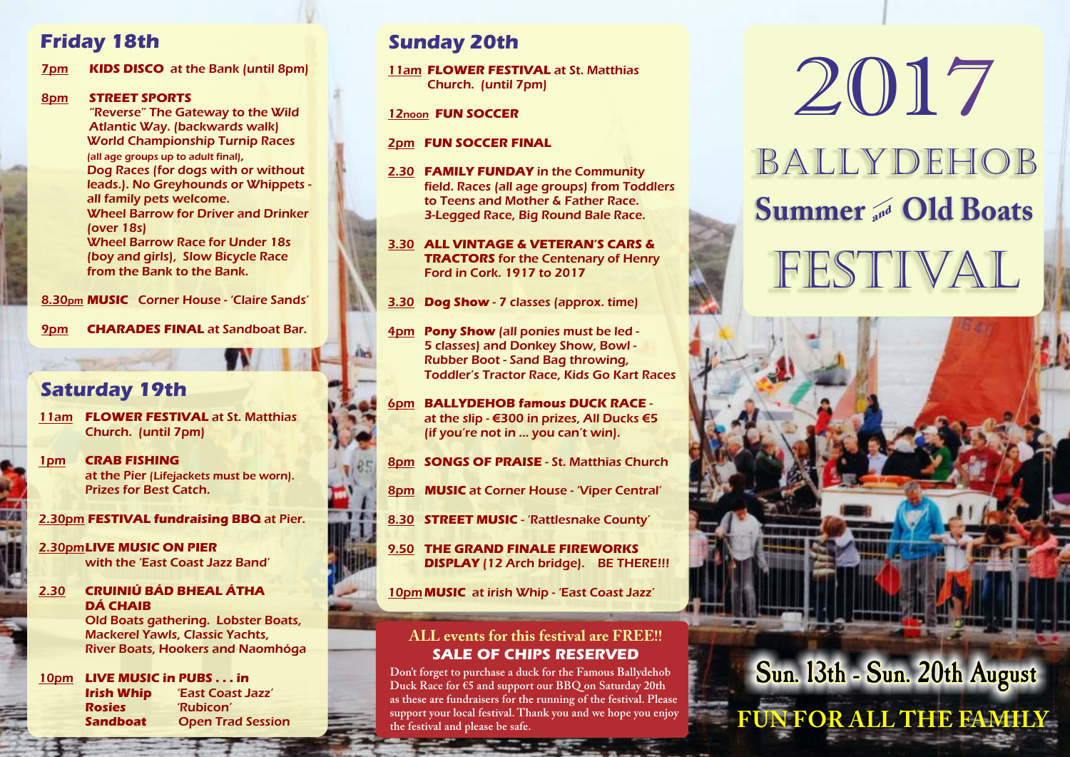7pm **KIDS DISCO** at the Bank (until 8pm)

#### 8pm **STREET SPORTS**

"Reverse" The Gateway to the Wild Atlantic Way. (backwards walk) World Championship Turnip Races (all age groups up to adult final), Dog Races (for dogs with or without leads.). No Greyhounds or Whippets all family pets welcome. Wheel Barrow for Driver and Drinker (over 18s) Wheel Barrow Race for Under 18s (boy and girls), Slow Bicycle Race from the Bank to the Bank.

8.30pm **MUSIC** Corner House - 'Claire Sands'

9pm **CHARADES FINAL** at Sandboat Bar.

## **Saturday 19th**

- 11am **FLOWER FESTIVAL** at St. Matthias Church. (until 7pm)
- 1pm **CRAB FISHING** at the Pier (Lifejackets must be worn). Prizes for Best Catch.

2.30pm **FESTIVAL fundraising BBQ** at Pier.

2.30pm**LIVE MUSIC ON PIER** with the 'East Coast Jazz Band'

#### 2.30 **CRUINIÚ BÁD BHEAL ÁTHA DÁ CHAIB**

Old Boats gathering. Lobster Boats, Mackerel Yawls, Classic Yachts, River Boats, Hookers and Naomhóga

10pm **LIVE MUSIC in PUBS . . . in Irish Whip** 'East Coast Jazz' **Rosies** 'Rubicon' **Sandboat Open Trad Session** 

## **Friday 18th Sunday 20th**

11am **FLOWER FESTIVAL** at St. Matthias Church. (until 7pm)

#### 12noon **FUN SOCCER**

#### 2pm **FUN SOCCER FINAL**

- 2.30 **FAMILY FUNDAY** in the Community field. Races (all age groups) from Toddlers to Teens and Mother & Father Race. 3-Legged Race, Big Round Bale Race.
- 3.30 **ALL VINTAGE & VETERAN'S CARS & TRACTORS** for the Centenary of Henry Ford in Cork. 1917 to 2017
- 3.30 **Dog Show** 7 classes (approx. time)
- 4pm **Pony Show** (all ponies must be led 5 classes) and Donkey Show, Bowl - Rubber Boot - Sand Bag throwing, Toddler's Tractor Race, Kids Go Kart Races
- 6pm **BALLYDEHOB famous DUCK RACE** at the slip - €300 in prizes, All Ducks €5 (if you're not in ... you can't win).
- 8pm **SONGS OF PRAISE** St. Matthias Church
- 8pm **MUSIC** at Corner House 'Viper Central'
- 8.30 **STREET MUSIC** 'Rattlesnake County'
- 9.50 **THE GRAND FINALE FIREWORKS DISPLAY** (12 Arch bridge). BE THERE!!!

10pm **MUSIC** at irish Whip - 'East Coast Jazz'

#### **ALL events for this festival are FREE!! SALE OF CHIPS RESERVED**

**Don't forget to purchase a duck for the Famous Ballydehob Duck Race for €5 and support our BBQ on Saturday 20th as these are fundraisers for the running of the festival. Please support your local festival. Thank you and we hope you enjoy the festival and please be safe.**

# FESTIVAL BALLYDEHOB **Summer** and **Old Boats** 2017

**Sun. 13th - Sun. 20th August**

**FUN FOR ALL THE FAMILY**